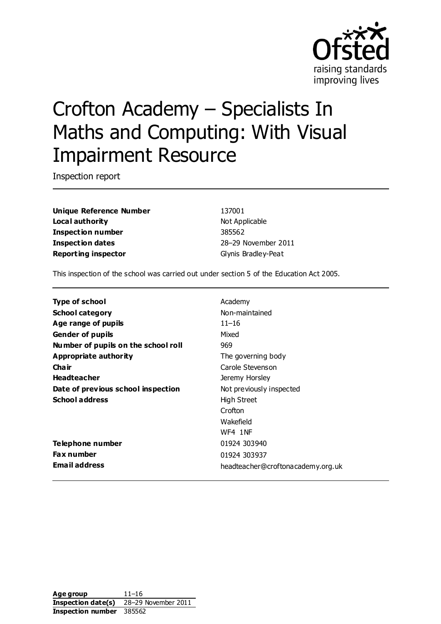

# Crofton Academy – Specialists In Maths and Computing: With Visual Impairment Resource

Inspection report

**Unique Reference Number** 137001 **Local authority** Not Applicable **Inspection number** 385562 **Inspection dates** 28–29 November 2011 **Reporting inspector** Glynis Bradley-Peat

This inspection of the school was carried out under section 5 of the Education Act 2005.

| <b>Type of school</b>               | Academy                           |
|-------------------------------------|-----------------------------------|
| <b>School category</b>              | Non-maintained                    |
| Age range of pupils                 | $11 - 16$                         |
| <b>Gender of pupils</b>             | Mixed                             |
| Number of pupils on the school roll | 969                               |
| Appropriate authority               | The governing body                |
| Cha ir                              | Carole Stevenson                  |
| <b>Headteacher</b>                  | Jeremy Horsley                    |
| Date of previous school inspection  | Not previously inspected          |
| <b>School address</b>               | High Street                       |
|                                     | Crofton                           |
|                                     | Wakefield                         |
|                                     | WF4 1NF                           |
| Telephone number                    | 01924 303940                      |
| <b>Fax number</b>                   | 01924 303937                      |
| <b>Email address</b>                | headteacher@croftonacademy.org.uk |

**Age group** 11–16 **Inspection date(s)** 28–29 November 2011 **Inspection number** 385562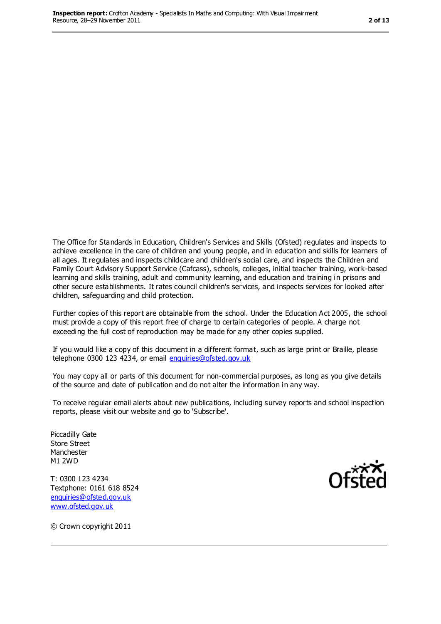The Office for Standards in Education, Children's Services and Skills (Ofsted) regulates and inspects to achieve excellence in the care of children and young people, and in education and skills for learners of all ages. It regulates and inspects childcare and children's social care, and inspects the Children and Family Court Advisory Support Service (Cafcass), schools, colleges, initial teacher training, work-based learning and skills training, adult and community learning, and education and training in prisons and other secure establishments. It rates council children's services, and inspects services for looked after children, safeguarding and child protection.

Further copies of this report are obtainable from the school. Under the Education Act 2005, the school must provide a copy of this report free of charge to certain categories of people. A charge not exceeding the full cost of reproduction may be made for any other copies supplied.

If you would like a copy of this document in a different format, such as large print or Braille, please telephone 0300 123 4234, or email [enquiries@ofsted.gov.uk](mailto:enquiries@ofsted.gov.uk)

You may copy all or parts of this document for non-commercial purposes, as long as you give details of the source and date of publication and do not alter the information in any way.

To receive regular email alerts about new publications, including survey reports and school inspection reports, please visit our website and go to 'Subscribe'.

Piccadilly Gate Store Street Manchester M1 2WD

T: 0300 123 4234 Textphone: 0161 618 8524 [enquiries@ofsted.gov.uk](mailto:enquiries@ofsted.gov.uk) [www.ofsted.gov.uk](http://www.ofsted.gov.uk/)



© Crown copyright 2011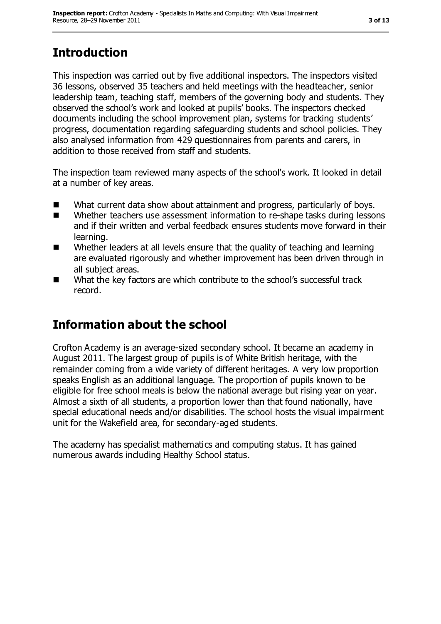# **Introduction**

This inspection was carried out by five additional inspectors. The inspectors visited 36 lessons, observed 35 teachers and held meetings with the headteacher, senior leadership team, teaching staff, members of the governing body and students. They observed the school's work and looked at pupils' books. The inspectors checked documents including the school improvement plan, systems for tracking students' progress, documentation regarding safeguarding students and school policies. They also analysed information from 429 questionnaires from parents and carers, in addition to those received from staff and students.

The inspection team reviewed many aspects of the school's work. It looked in detail at a number of key areas.

- What current data show about attainment and progress, particularly of boys.
- Whether teachers use assessment information to re-shape tasks during lessons and if their written and verbal feedback ensures students move forward in their learning.
- Whether leaders at all levels ensure that the quality of teaching and learning are evaluated rigorously and whether improvement has been driven through in all subject areas.
- What the key factors are which contribute to the school's successful track record.

## **Information about the school**

Crofton Academy is an average-sized secondary school. It became an academy in August 2011. The largest group of pupils is of White British heritage, with the remainder coming from a wide variety of different heritages. A very low proportion speaks English as an additional language. The proportion of pupils known to be eligible for free school meals is below the national average but rising year on year. Almost a sixth of all students, a proportion lower than that found nationally, have special educational needs and/or disabilities. The school hosts the visual impairment unit for the Wakefield area, for secondary-aged students.

The academy has specialist mathematics and computing status. It has gained numerous awards including Healthy School status.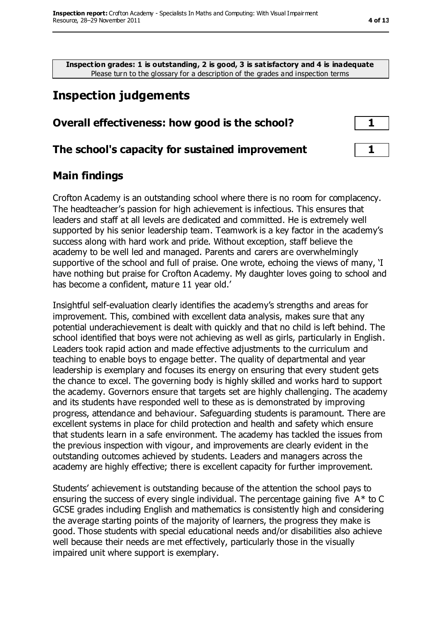**Inspection grades: 1 is outstanding, 2 is good, 3 is satisfactory and 4 is inadequate** Please turn to the glossary for a description of the grades and inspection terms

## **Inspection judgements**

#### **Overall effectiveness: how good is the school? 1**

#### **The school's capacity for sustained improvement 1**

#### **Main findings**

Crofton Academy is an outstanding school where there is no room for complacency. The headteacher's passion for high achievement is infectious. This ensures that leaders and staff at all levels are dedicated and committed. He is extremely well supported by his senior leadership team. Teamwork is a key factor in the academy's success along with hard work and pride. Without exception, staff believe the academy to be well led and managed. Parents and carers are overwhelmingly supportive of the school and full of praise. One wrote, echoing the views of many, 'I have nothing but praise for Crofton Academy. My daughter loves going to school and has become a confident, mature 11 year old.'

Insightful self-evaluation clearly identifies the academy's strengths and areas for improvement. This, combined with excellent data analysis, makes sure that any potential underachievement is dealt with quickly and that no child is left behind. The school identified that boys were not achieving as well as girls, particularly in English. Leaders took rapid action and made effective adjustments to the curriculum and teaching to enable boys to engage better. The quality of departmental and year leadership is exemplary and focuses its energy on ensuring that every student gets the chance to excel. The governing body is highly skilled and works hard to support the academy. Governors ensure that targets set are highly challenging. The academy and its students have responded well to these as is demonstrated by improving progress, attendance and behaviour. Safeguarding students is paramount. There are excellent systems in place for child protection and health and safety which ensure that students learn in a safe environment. The academy has tackled the issues from the previous inspection with vigour, and improvements are clearly evident in the outstanding outcomes achieved by students. Leaders and managers across the academy are highly effective; there is excellent capacity for further improvement.

Students' achievement is outstanding because of the attention the school pays to ensuring the success of every single individual. The percentage gaining five  $A^*$  to C GCSE grades including English and mathematics is consistently high and considering the average starting points of the majority of learners, the progress they make is good. Those students with special educational needs and/or disabilities also achieve well because their needs are met effectively, particularly those in the visually impaired unit where support is exemplary.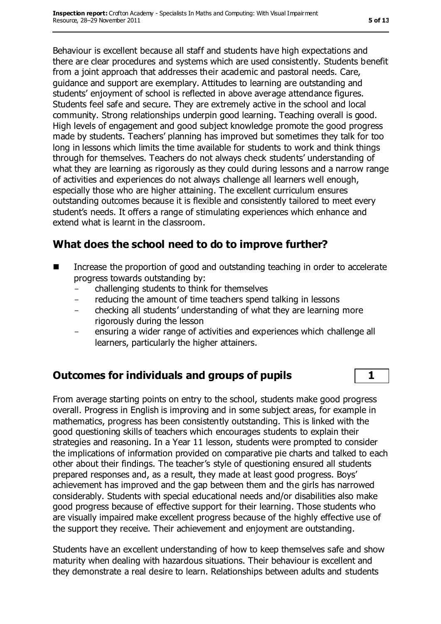Behaviour is excellent because all staff and students have high expectations and there are clear procedures and systems which are used consistently. Students benefit from a joint approach that addresses their academic and pastoral needs. Care, guidance and support are exemplary. Attitudes to learning are outstanding and students' enjoyment of school is reflected in above average attendance figures. Students feel safe and secure. They are extremely active in the school and local community. Strong relationships underpin good learning. Teaching overall is good. High levels of engagement and good subject knowledge promote the good progress made by students. Teachers' planning has improved but sometimes they talk for too long in lessons which limits the time available for students to work and think things through for themselves. Teachers do not always check students' understanding of what they are learning as rigorously as they could during lessons and a narrow range of activities and experiences do not always challenge all learners well enough, especially those who are higher attaining. The excellent curriculum ensures outstanding outcomes because it is flexible and consistently tailored to meet every student's needs. It offers a range of stimulating experiences which enhance and extend what is learnt in the classroom.

## **What does the school need to do to improve further?**

- Increase the proportion of good and outstanding teaching in order to accelerate progress towards outstanding by:
	- challenging students to think for themselves
	- reducing the amount of time teachers spend talking in lessons
	- checking all students' understanding of what they are learning more rigorously during the lesson
	- ensuring a wider range of activities and experiences which challenge all learners, particularly the higher attainers.

## **Outcomes for individuals and groups of pupils 1**

From average starting points on entry to the school, students make good progress overall. Progress in English is improving and in some subject areas, for example in mathematics, progress has been consistently outstanding. This is linked with the good questioning skills of teachers which encourages students to explain their strategies and reasoning. In a Year 11 lesson, students were prompted to consider the implications of information provided on comparative pie charts and talked to each other about their findings. The teacher's style of questioning ensured all students prepared responses and, as a result, they made at least good progress. Boys' achievement has improved and the gap between them and the girls has narrowed considerably. Students with special educational needs and/or disabilities also make good progress because of effective support for their learning. Those students who are visually impaired make excellent progress because of the highly effective use of the support they receive. Their achievement and enjoyment are outstanding.

Students have an excellent understanding of how to keep themselves safe and show maturity when dealing with hazardous situations. Their behaviour is excellent and they demonstrate a real desire to learn. Relationships between adults and students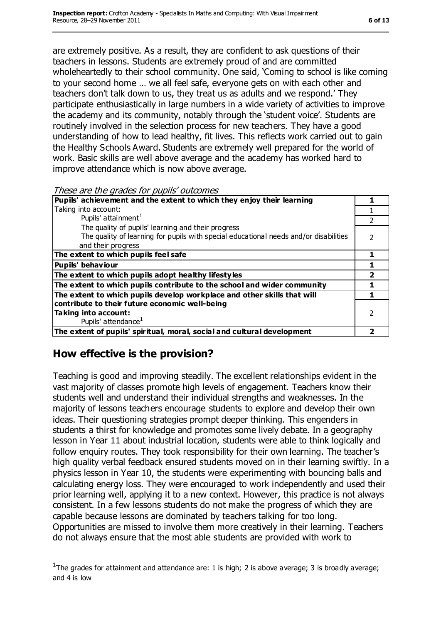are extremely positive. As a result, they are confident to ask questions of their teachers in lessons. Students are extremely proud of and are committed wholeheartedly to their school community. One said, 'Coming to school is like coming to your second home … we all feel safe, everyone gets on with each other and teachers don't talk down to us, they treat us as adults and we respond.' They participate enthusiastically in large numbers in a wide variety of activities to improve the academy and its community, notably through the 'student voice'. Students are routinely involved in the selection process for new teachers. They have a good understanding of how to lead healthy, fit lives. This reflects work carried out to gain the Healthy Schools Award. Students are extremely well prepared for the world of work. Basic skills are well above average and the academy has worked hard to improve attendance which is now above average.

These are the grades for pupils' outcomes

| Pupils' achievement and the extent to which they enjoy their learning<br>Taking into account:<br>Pupils' attainment <sup>1</sup><br>The quality of pupils' learning and their progress<br>The quality of learning for pupils with special educational needs and/or disabilities<br>and their progress<br>The extent to which pupils feel safe<br><b>Pupils' behaviour</b><br>The extent to which pupils adopt healthy lifestyles<br>The extent to which pupils contribute to the school and wider community<br>The extent to which pupils develop workplace and other skills that will<br>contribute to their future economic well-being<br>Taking into account:<br>Pupils' attendance <sup>1</sup><br>The extent of pupils' spiritual, moral, social and cultural development | $555$ and and grades for papils categories |  |
|--------------------------------------------------------------------------------------------------------------------------------------------------------------------------------------------------------------------------------------------------------------------------------------------------------------------------------------------------------------------------------------------------------------------------------------------------------------------------------------------------------------------------------------------------------------------------------------------------------------------------------------------------------------------------------------------------------------------------------------------------------------------------------|--------------------------------------------|--|
|                                                                                                                                                                                                                                                                                                                                                                                                                                                                                                                                                                                                                                                                                                                                                                                |                                            |  |
|                                                                                                                                                                                                                                                                                                                                                                                                                                                                                                                                                                                                                                                                                                                                                                                |                                            |  |
|                                                                                                                                                                                                                                                                                                                                                                                                                                                                                                                                                                                                                                                                                                                                                                                |                                            |  |
|                                                                                                                                                                                                                                                                                                                                                                                                                                                                                                                                                                                                                                                                                                                                                                                |                                            |  |
|                                                                                                                                                                                                                                                                                                                                                                                                                                                                                                                                                                                                                                                                                                                                                                                |                                            |  |
|                                                                                                                                                                                                                                                                                                                                                                                                                                                                                                                                                                                                                                                                                                                                                                                |                                            |  |
|                                                                                                                                                                                                                                                                                                                                                                                                                                                                                                                                                                                                                                                                                                                                                                                |                                            |  |
|                                                                                                                                                                                                                                                                                                                                                                                                                                                                                                                                                                                                                                                                                                                                                                                |                                            |  |
|                                                                                                                                                                                                                                                                                                                                                                                                                                                                                                                                                                                                                                                                                                                                                                                |                                            |  |
|                                                                                                                                                                                                                                                                                                                                                                                                                                                                                                                                                                                                                                                                                                                                                                                |                                            |  |
|                                                                                                                                                                                                                                                                                                                                                                                                                                                                                                                                                                                                                                                                                                                                                                                |                                            |  |
|                                                                                                                                                                                                                                                                                                                                                                                                                                                                                                                                                                                                                                                                                                                                                                                |                                            |  |
|                                                                                                                                                                                                                                                                                                                                                                                                                                                                                                                                                                                                                                                                                                                                                                                |                                            |  |
|                                                                                                                                                                                                                                                                                                                                                                                                                                                                                                                                                                                                                                                                                                                                                                                |                                            |  |
|                                                                                                                                                                                                                                                                                                                                                                                                                                                                                                                                                                                                                                                                                                                                                                                |                                            |  |

## **How effective is the provision?**

 $\overline{a}$ 

Teaching is good and improving steadily. The excellent relationships evident in the vast majority of classes promote high levels of engagement. Teachers know their students well and understand their individual strengths and weaknesses. In the majority of lessons teachers encourage students to explore and develop their own ideas. Their questioning strategies prompt deeper thinking. This engenders in students a thirst for knowledge and promotes some lively debate. In a geography lesson in Year 11 about industrial location, students were able to think logically and follow enquiry routes. They took responsibility for their own learning. The teacher's high quality verbal feedback ensured students moved on in their learning swiftly. In a physics lesson in Year 10, the students were experimenting with bouncing balls and calculating energy loss. They were encouraged to work independently and used their prior learning well, applying it to a new context. However, this practice is not always consistent. In a few lessons students do not make the progress of which they are capable because lessons are dominated by teachers talking for too long. Opportunities are missed to involve them more creatively in their learning. Teachers do not always ensure that the most able students are provided with work to

<sup>&</sup>lt;sup>1</sup>The grades for attainment and attendance are: 1 is high; 2 is above average; 3 is broadly average; and 4 is low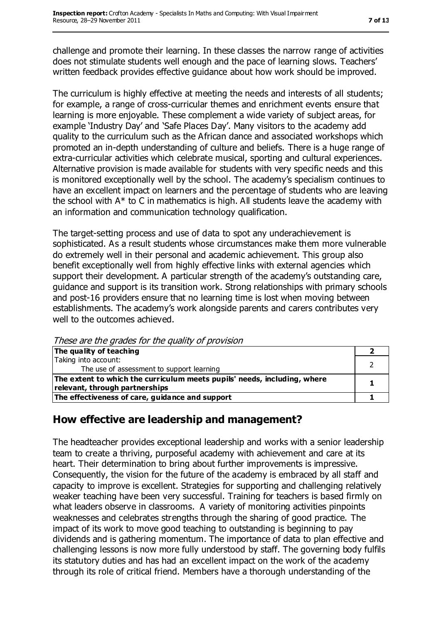challenge and promote their learning. In these classes the narrow range of activities does not stimulate students well enough and the pace of learning slows. Teachers' written feedback provides effective guidance about how work should be improved.

The curriculum is highly effective at meeting the needs and interests of all students; for example, a range of cross-curricular themes and enrichment events ensure that learning is more enjoyable. These complement a wide variety of subject areas, for example 'Industry Day' and 'Safe Places Day'. Many visitors to the academy add quality to the curriculum such as the African dance and associated workshops which promoted an in-depth understanding of culture and beliefs. There is a huge range of extra-curricular activities which celebrate musical, sporting and cultural experiences. Alternative provision is made available for students with very specific needs and this is monitored exceptionally well by the school. The academy's specialism continues to have an excellent impact on learners and the percentage of students who are leaving the school with A\* to C in mathematics is high. All students leave the academy with an information and communication technology qualification.

The target-setting process and use of data to spot any underachievement is sophisticated. As a result students whose circumstances make them more vulnerable do extremely well in their personal and academic achievement. This group also benefit exceptionally well from highly effective links with external agencies which support their development. A particular strength of the academy's outstanding care, guidance and support is its transition work. Strong relationships with primary schools and post-16 providers ensure that no learning time is lost when moving between establishments. The academy's work alongside parents and carers contributes very well to the outcomes achieved.

These are the grades for the quality of provision

| The quality of teaching                                                  |  |
|--------------------------------------------------------------------------|--|
| Taking into account:                                                     |  |
| The use of assessment to support learning                                |  |
| The extent to which the curriculum meets pupils' needs, including, where |  |
| relevant, through partnerships                                           |  |
| The effectiveness of care, guidance and support                          |  |

## **How effective are leadership and management?**

The headteacher provides exceptional leadership and works with a senior leadership team to create a thriving, purposeful academy with achievement and care at its heart. Their determination to bring about further improvements is impressive. Consequently, the vision for the future of the academy is embraced by all staff and capacity to improve is excellent. Strategies for supporting and challenging relatively weaker teaching have been very successful. Training for teachers is based firmly on what leaders observe in classrooms. A variety of monitoring activities pinpoints weaknesses and celebrates strengths through the sharing of good practice. The impact of its work to move good teaching to outstanding is beginning to pay dividends and is gathering momentum. The importance of data to plan effective and challenging lessons is now more fully understood by staff. The governing body fulfils its statutory duties and has had an excellent impact on the work of the academy through its role of critical friend. Members have a thorough understanding of the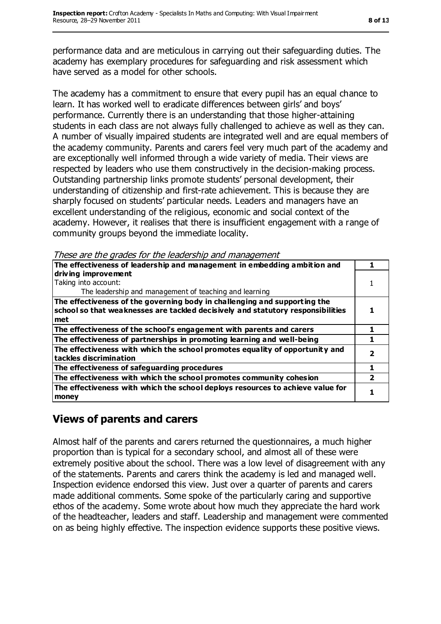performance data and are meticulous in carrying out their safeguarding duties. The academy has exemplary procedures for safeguarding and risk assessment which have served as a model for other schools.

The academy has a commitment to ensure that every pupil has an equal chance to learn. It has worked well to eradicate differences between girls' and boys' performance. Currently there is an understanding that those higher-attaining students in each class are not always fully challenged to achieve as well as they can. A number of visually impaired students are integrated well and are equal members of the academy community. Parents and carers feel very much part of the academy and are exceptionally well informed through a wide variety of media. Their views are respected by leaders who use them constructively in the decision-making process. Outstanding partnership links promote students' personal development, their understanding of citizenship and first-rate achievement. This is because they are sharply focused on students' particular needs. Leaders and managers have an excellent understanding of the religious, economic and social context of the academy. However, it realises that there is insufficient engagement with a range of community groups beyond the immediate locality.

These are the grades for the leadership and management

| The effectiveness of leadership and management in embedding ambition and                                                                                            |  |
|---------------------------------------------------------------------------------------------------------------------------------------------------------------------|--|
| driving improvement                                                                                                                                                 |  |
| Taking into account:                                                                                                                                                |  |
| The leadership and management of teaching and learning                                                                                                              |  |
| The effectiveness of the governing body in challenging and supporting the<br>school so that weaknesses are tackled decisively and statutory responsibilities<br>met |  |
| The effectiveness of the school's engagement with parents and carers                                                                                                |  |
| The effectiveness of partnerships in promoting learning and well-being                                                                                              |  |
| The effectiveness with which the school promotes equality of opportunity and<br>tackles discrimination                                                              |  |
| The effectiveness of safeguarding procedures                                                                                                                        |  |
| The effectiveness with which the school promotes community cohesion                                                                                                 |  |
| The effectiveness with which the school deploys resources to achieve value for<br>money                                                                             |  |

## **Views of parents and carers**

Almost half of the parents and carers returned the questionnaires, a much higher proportion than is typical for a secondary school, and almost all of these were extremely positive about the school. There was a low level of disagreement with any of the statements. Parents and carers think the academy is led and managed well. Inspection evidence endorsed this view. Just over a quarter of parents and carers made additional comments. Some spoke of the particularly caring and supportive ethos of the academy. Some wrote about how much they appreciate the hard work of the headteacher, leaders and staff. Leadership and management were commented on as being highly effective. The inspection evidence supports these positive views.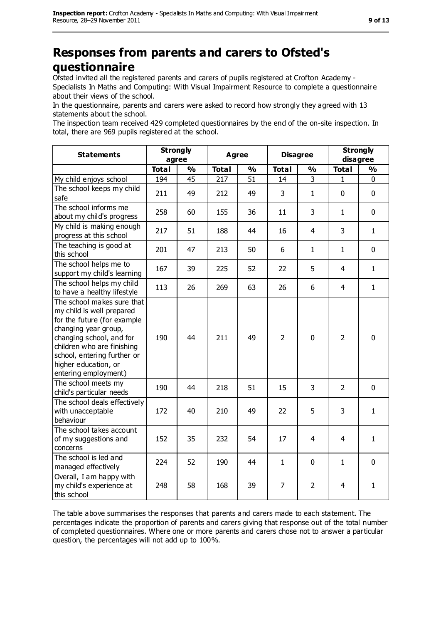## **Responses from parents and carers to Ofsted's questionnaire**

Ofsted invited all the registered parents and carers of pupils registered at Crofton Academy - Specialists In Maths and Computing: With Visual Impairment Resource to complete a questionnaire about their views of the school.

In the questionnaire, parents and carers were asked to record how strongly they agreed with 13 statements about the school.

The inspection team received 429 completed questionnaires by the end of the on-site inspection. In total, there are 969 pupils registered at the school.

| <b>Statements</b>                                                                                                                                                                                                                                       | <b>Strongly</b><br>agree |               | <b>Agree</b> |    | <b>Disagree</b> |                | <b>Strongly</b><br>disagree |              |
|---------------------------------------------------------------------------------------------------------------------------------------------------------------------------------------------------------------------------------------------------------|--------------------------|---------------|--------------|----|-----------------|----------------|-----------------------------|--------------|
|                                                                                                                                                                                                                                                         | <b>Total</b>             | $\frac{9}{6}$ | <b>Total</b> | %  | <b>Total</b>    | $\frac{1}{2}$  | <b>Total</b>                | %            |
| My child enjoys school                                                                                                                                                                                                                                  | 194                      | 45            | 217          | 51 | 14              | 3              | $\mathbf{1}$                | 0            |
| The school keeps my child<br>safe                                                                                                                                                                                                                       | 211                      | 49            | 212          | 49 | 3               | $\mathbf{1}$   | 0                           | 0            |
| The school informs me<br>about my child's progress                                                                                                                                                                                                      | 258                      | 60            | 155          | 36 | 11              | 3              | $\mathbf{1}$                | 0            |
| My child is making enough<br>progress at this school                                                                                                                                                                                                    | 217                      | 51            | 188          | 44 | 16              | $\overline{4}$ | 3                           | $\mathbf{1}$ |
| The teaching is good at<br>this school                                                                                                                                                                                                                  | 201                      | 47            | 213          | 50 | 6               | $\mathbf{1}$   | $\mathbf{1}$                | 0            |
| The school helps me to<br>support my child's learning                                                                                                                                                                                                   | 167                      | 39            | 225          | 52 | 22              | 5              | $\overline{\mathbf{4}}$     | $\mathbf{1}$ |
| The school helps my child<br>to have a healthy lifestyle                                                                                                                                                                                                | 113                      | 26            | 269          | 63 | 26              | 6              | 4                           | $\mathbf{1}$ |
| The school makes sure that<br>my child is well prepared<br>for the future (for example<br>changing year group,<br>changing school, and for<br>children who are finishing<br>school, entering further or<br>higher education, or<br>entering employment) | 190                      | 44            | 211          | 49 | $\overline{2}$  | $\mathbf 0$    | $\overline{2}$              | $\mathbf 0$  |
| The school meets my<br>child's particular needs                                                                                                                                                                                                         | 190                      | 44            | 218          | 51 | 15              | 3              | $\overline{2}$              | $\mathbf 0$  |
| The school deals effectively<br>with unacceptable<br>behaviour                                                                                                                                                                                          | 172                      | 40            | 210          | 49 | 22              | 5              | 3                           | $\mathbf{1}$ |
| The school takes account<br>of my suggestions and<br>concerns                                                                                                                                                                                           | 152                      | 35            | 232          | 54 | 17              | 4              | 4                           | $\mathbf{1}$ |
| The school is led and<br>managed effectively                                                                                                                                                                                                            | 224                      | 52            | 190          | 44 | $\mathbf{1}$    | $\mathbf 0$    | $\mathbf{1}$                | 0            |
| Overall, I am happy with<br>my child's experience at<br>this school                                                                                                                                                                                     | 248                      | 58            | 168          | 39 | $\overline{7}$  | $\overline{2}$ | 4                           | $\mathbf{1}$ |

The table above summarises the responses that parents and carers made to each statement. The percentages indicate the proportion of parents and carers giving that response out of the total number of completed questionnaires. Where one or more parents and carers chose not to answer a particular question, the percentages will not add up to 100%.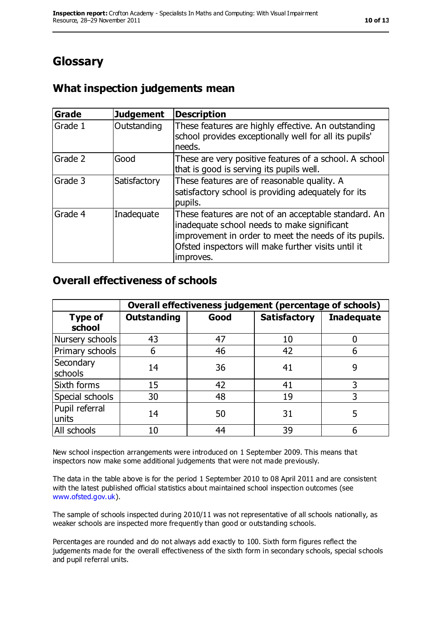## **Glossary**

## **What inspection judgements mean**

| <b>Grade</b> | <b>Judgement</b> | Description                                                                                                                                                                                                                      |
|--------------|------------------|----------------------------------------------------------------------------------------------------------------------------------------------------------------------------------------------------------------------------------|
| Grade 1      | Outstanding      | These features are highly effective. An outstanding<br>school provides exceptionally well for all its pupils'<br>needs.                                                                                                          |
| Grade 2      | Good             | These are very positive features of a school. A school<br>that is good is serving its pupils well.                                                                                                                               |
| Grade 3      | Satisfactory     | These features are of reasonable quality. A<br>satisfactory school is providing adequately for its<br>pupils.                                                                                                                    |
| Grade 4      | Inadequate       | These features are not of an acceptable standard. An<br>inadequate school needs to make significant<br>improvement in order to meet the needs of its pupils.<br>Ofsted inspectors will make further visits until it<br>improves. |

#### **Overall effectiveness of schools**

|                          | Overall effectiveness judgement (percentage of schools) |      |                     |                   |
|--------------------------|---------------------------------------------------------|------|---------------------|-------------------|
| <b>Type of</b><br>school | <b>Outstanding</b>                                      | Good | <b>Satisfactory</b> | <b>Inadequate</b> |
| Nursery schools          | 43                                                      | 47   | 10                  |                   |
| Primary schools          | 6                                                       | 46   | 42                  |                   |
| Secondary<br>schools     | 14                                                      | 36   | 41                  | 9                 |
| Sixth forms              | 15                                                      | 42   | 41                  | 3                 |
| Special schools          | 30                                                      | 48   | 19                  | 3                 |
| Pupil referral<br>units  | 14                                                      | 50   | 31                  | 5                 |
| All schools              | 10                                                      | 44   | 39                  |                   |

New school inspection arrangements were introduced on 1 September 2009. This means that inspectors now make some additional judgements that were not made previously.

The data in the table above is for the period 1 September 2010 to 08 April 2011 and are consistent with the latest published official statistics about maintained school inspection outcomes (see [www.ofsted.gov.uk\)](http://www.ofsted.gov.uk/).

The sample of schools inspected during 2010/11 was not representative of all schools nationally, as weaker schools are inspected more frequently than good or outstanding schools.

Percentages are rounded and do not always add exactly to 100. Sixth form figures reflect the judgements made for the overall effectiveness of the sixth form in secondary schools, special schools and pupil referral units.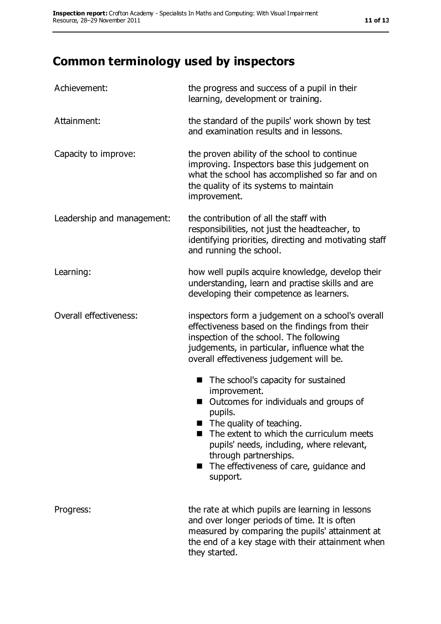# **Common terminology used by inspectors**

| Achievement:               | the progress and success of a pupil in their<br>learning, development or training.                                                                                                                                                                                                                                                         |  |  |
|----------------------------|--------------------------------------------------------------------------------------------------------------------------------------------------------------------------------------------------------------------------------------------------------------------------------------------------------------------------------------------|--|--|
| Attainment:                | the standard of the pupils' work shown by test<br>and examination results and in lessons.                                                                                                                                                                                                                                                  |  |  |
| Capacity to improve:       | the proven ability of the school to continue<br>improving. Inspectors base this judgement on<br>what the school has accomplished so far and on<br>the quality of its systems to maintain<br>improvement.                                                                                                                                   |  |  |
| Leadership and management: | the contribution of all the staff with<br>responsibilities, not just the headteacher, to<br>identifying priorities, directing and motivating staff<br>and running the school.                                                                                                                                                              |  |  |
| Learning:                  | how well pupils acquire knowledge, develop their<br>understanding, learn and practise skills and are<br>developing their competence as learners.                                                                                                                                                                                           |  |  |
| Overall effectiveness:     | inspectors form a judgement on a school's overall<br>effectiveness based on the findings from their<br>inspection of the school. The following<br>judgements, in particular, influence what the<br>overall effectiveness judgement will be.                                                                                                |  |  |
|                            | The school's capacity for sustained<br>■<br>improvement.<br>Outcomes for individuals and groups of<br>pupils.<br>$\blacksquare$ The quality of teaching.<br>The extent to which the curriculum meets<br>pupils' needs, including, where relevant,<br>through partnerships.<br>The effectiveness of care, guidance and<br>a a s<br>support. |  |  |
| Progress:                  | the rate at which pupils are learning in lessons<br>and over longer periods of time. It is often<br>measured by comparing the pupils' attainment at<br>the end of a key stage with their attainment when<br>they started.                                                                                                                  |  |  |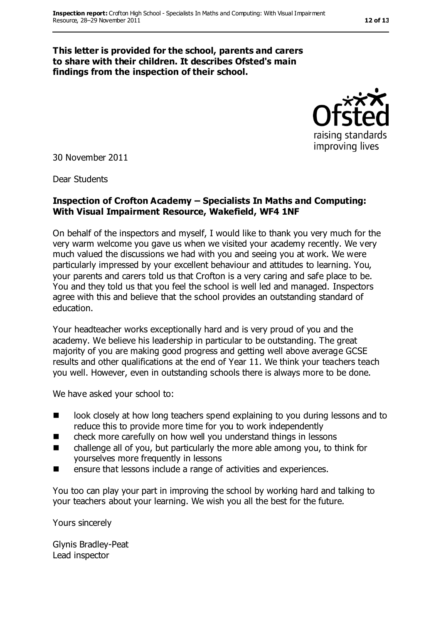#### **This letter is provided for the school, parents and carers to share with their children. It describes Ofsted's main findings from the inspection of their school.**

raising standards improving lives

30 November 2011

Dear Students

#### **Inspection of Crofton Academy – Specialists In Maths and Computing: With Visual Impairment Resource, Wakefield, WF4 1NF**

On behalf of the inspectors and myself, I would like to thank you very much for the very warm welcome you gave us when we visited your academy recently. We very much valued the discussions we had with you and seeing you at work. We were particularly impressed by your excellent behaviour and attitudes to learning. You, your parents and carers told us that Crofton is a very caring and safe place to be. You and they told us that you feel the school is well led and managed. Inspectors agree with this and believe that the school provides an outstanding standard of education.

Your headteacher works exceptionally hard and is very proud of you and the academy. We believe his leadership in particular to be outstanding. The great majority of you are making good progress and getting well above average GCSE results and other qualifications at the end of Year 11. We think your teachers teach you well. However, even in outstanding schools there is always more to be done.

We have asked your school to:

- look closely at how long teachers spend explaining to you during lessons and to reduce this to provide more time for you to work independently
- check more carefully on how well you understand things in lessons
- challenge all of you, but particularly the more able among you, to think for yourselves more frequently in lessons
- **EXECUTE:** ensure that lessons include a range of activities and experiences.

You too can play your part in improving the school by working hard and talking to your teachers about your learning. We wish you all the best for the future.

Yours sincerely

Glynis Bradley-Peat Lead inspector